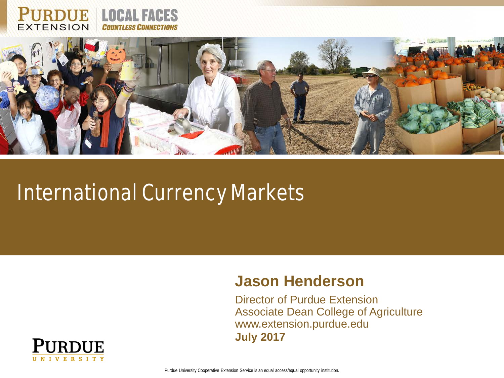

## International Currency Markets

#### **Jason Henderson**

**July 2017** Director of Purdue Extension Associate Dean College of Agriculture www.extension.purdue.edu

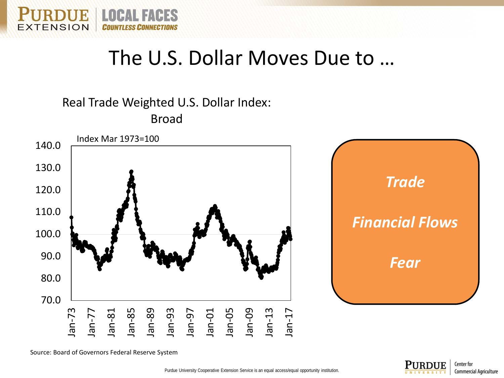

### The U.S. Dollar Moves Due to …

### Real Trade Weighted U.S. Dollar Index:

Broad



Source: Board of Governors Federal Reserve System

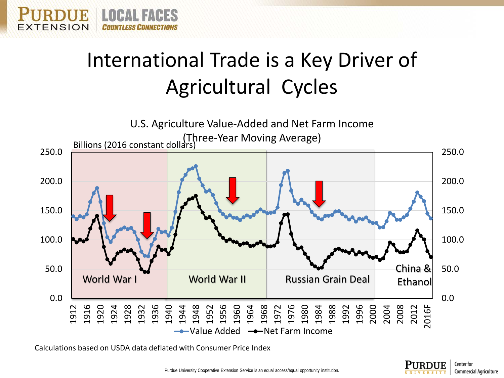# International Trade is a Key Driver of Agricultural Cycles



Calculations based on USDA data deflated with Consumer Price Index

**LOCAL FACES** 

ENSION

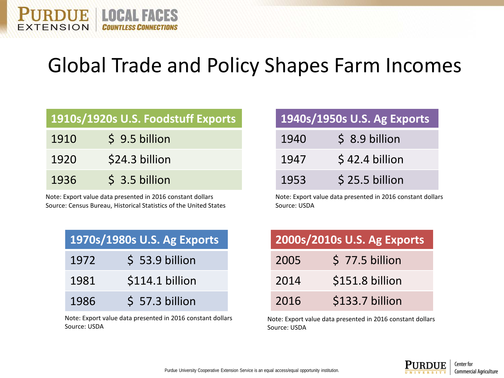## Global Trade and Policy Shapes Farm Incomes

#### **1910s/1920s U.S. Foodstuff Exports**

**DUE LOCAL FACES** 

EXTENSION

| 1910 | \$9.5 billion  |
|------|----------------|
| 1920 | \$24.3 billion |
| 1936 | \$ 3.5 billion |

Note: Export value data presented in 2016 constant dollars Source: Census Bureau, Historical Statistics of the United States

| 1970s/1980s U.S. Ag Exports |                 |  |  |  |
|-----------------------------|-----------------|--|--|--|
| 1972                        | $$53.9$ billion |  |  |  |
| 1981                        | \$114.1 billion |  |  |  |
| 1986                        | \$57.3 billion  |  |  |  |

Note: Export value data presented in 2016 constant dollars Source: USDA

| 1940s/1950s U.S. Ag Exports |                 |  |  |
|-----------------------------|-----------------|--|--|
| 1940                        | \$ 8.9 billion  |  |  |
| 1947                        | $$42.4$ billion |  |  |
| 1953                        | \$25.5 billion  |  |  |

Note: Export value data presented in 2016 constant dollars Source: USDA

| 2000s/2010s U.S. Ag Exports |                 |  |  |
|-----------------------------|-----------------|--|--|
| 2005                        | \$77.5 billion  |  |  |
| 2014                        | \$151.8 billion |  |  |
| 2016                        | \$133.7 billion |  |  |

Note: Export value data presented in 2016 constant dollars Source: USDA

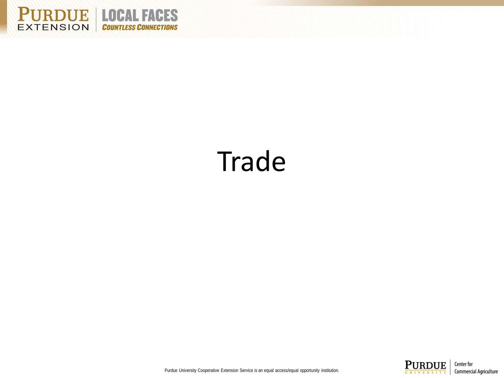

# Trade

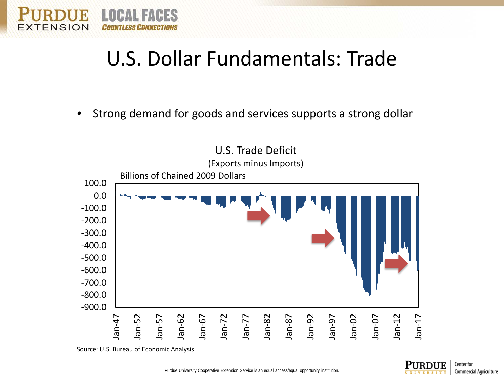

## U.S. Dollar Fundamentals: Trade

• Strong demand for goods and services supports a strong dollar



Source: U.S. Bureau of Economic Analysis

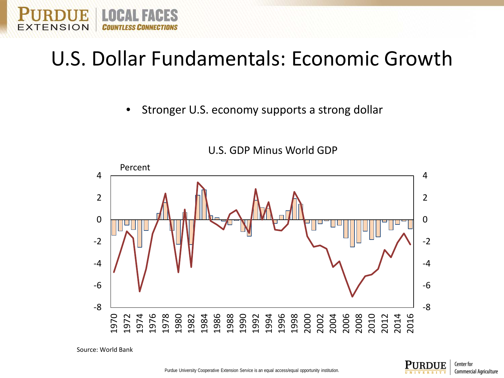### U.S. Dollar Fundamentals: Economic Growth

EFS

Stronger U.S. economy supports a strong dollar



U.S. GDP Minus World GDP

Source: World Bank

**ENSION** 

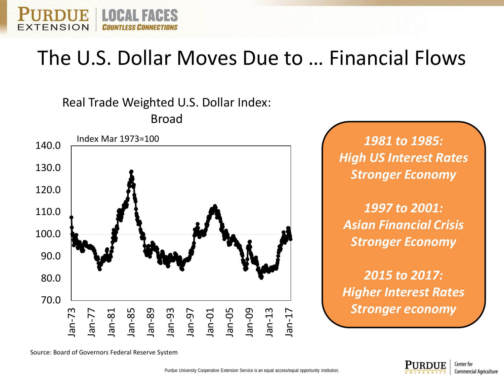

Real Trade Weighted U.S. Dollar Index:

**LOCAL FACES** 

Broad



*1981 to 1985: High US Interest Rates Stronger Economy*

*1997 to 2001: Asian Financial Crisis Stronger Economy*

*2015 to 2017: Higher Interest Rates Stronger economy*

Source: Board of Governors Federal Reserve System

RDUE

**TENSION** 

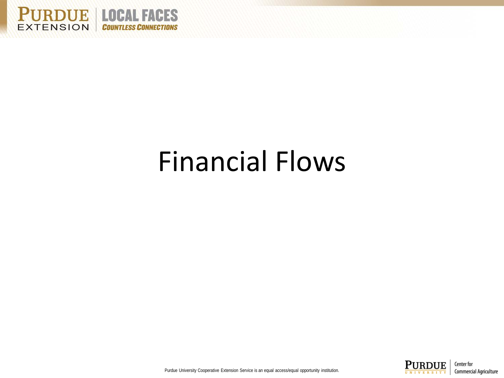

# Financial Flows

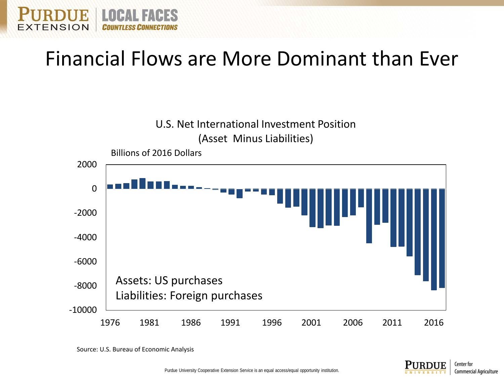

### Financial Flows are More Dominant than Ever



Source: U.S. Bureau of Economic Analysis

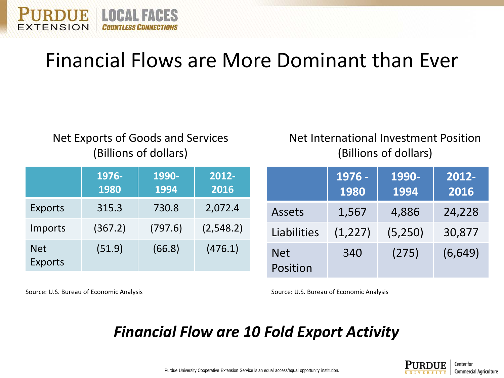### Financial Flows are More Dominant than Ever

#### Net Exports of Goods and Services (Billions of dollars)

**DUE LOCAL FACES** 

ENSION

#### Net International Investment Position (Billions of dollars)

|                       | 1976-<br>1980 | 1990-<br>1994 | 2012-<br>2016 |                        | 1976 -<br>1980 | 1990-<br>1994 | 2012-<br>2016 |
|-----------------------|---------------|---------------|---------------|------------------------|----------------|---------------|---------------|
| Exports               | 315.3         | 730.8         | 2,072.4       | Assets                 | 1,567          | 4,886         | 24,228        |
| Imports               | (367.2)       | (797.6)       | (2,548.2)     | Liabilities            | (1, 227)       | (5,250)       | 30,877        |
| <b>Net</b><br>Exports | (51.9)        | (66.8)        | (476.1)       | <b>Net</b><br>Position | 340            | (275)         | (6, 649)      |

Source: U.S. Bureau of Economic Analysis

Source: U.S. Bureau of Economic Analysis

### *Financial Flow are 10 Fold Export Activity*

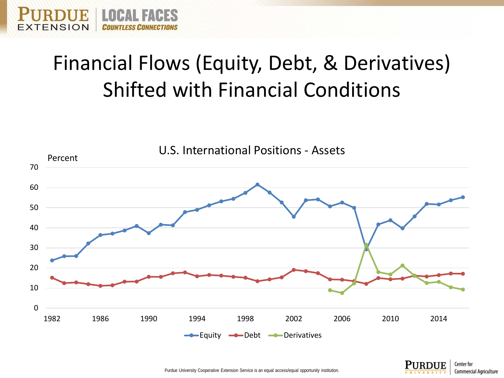# Financial Flows (Equity, Debt, & Derivatives) Shifted with Financial Conditions

**OR**B

**ENSION** 

**EAL FAFES** 



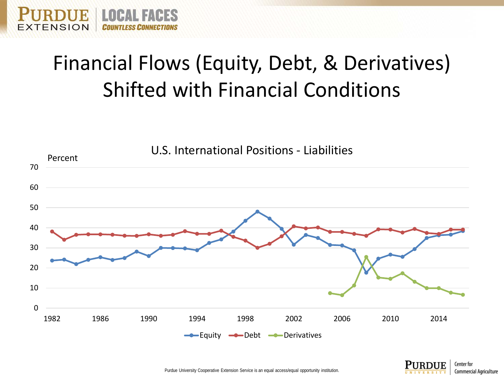# Financial Flows (Equity, Debt, & Derivatives) Shifted with Financial Conditions

**OR**EN

**ENSION** 

CFS



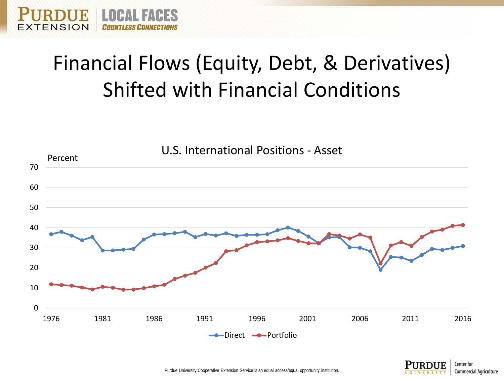# Financial Flows (Equity, Debt, & Derivatives) Shifted with Financial Conditions

IΕ

**ENSION** 

CFS



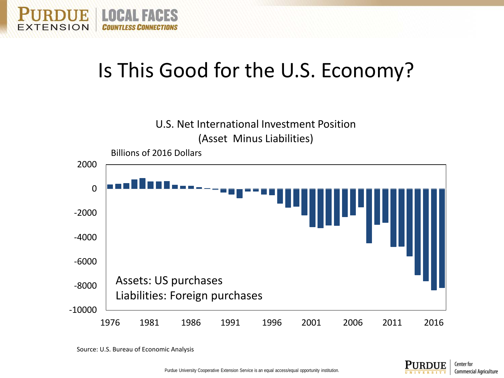

## Is This Good for the U.S. Economy?



Source: U.S. Bureau of Economic Analysis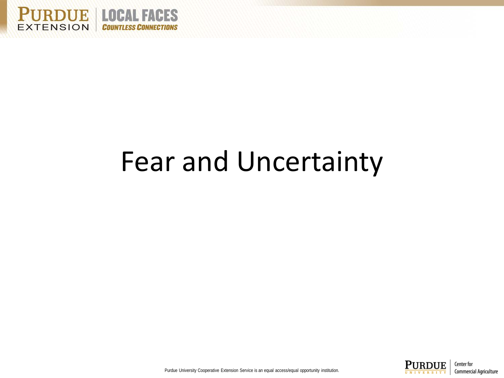

# Fear and Uncertainty

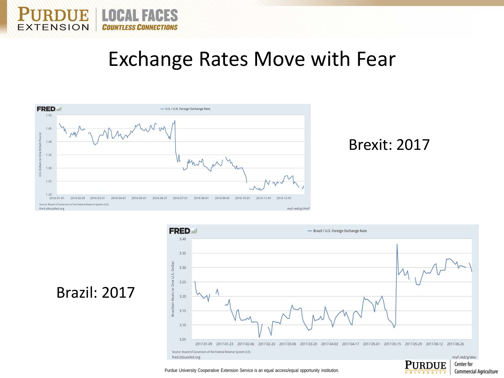### Exchange Rates Move with Fear



### Brexit: 2017

**Commercial Agriculture** 



Brazil: 2017

**URDUE LOCAL FACES** 

**COUNTLESS CONNECTIONS** 

**EXTENSION**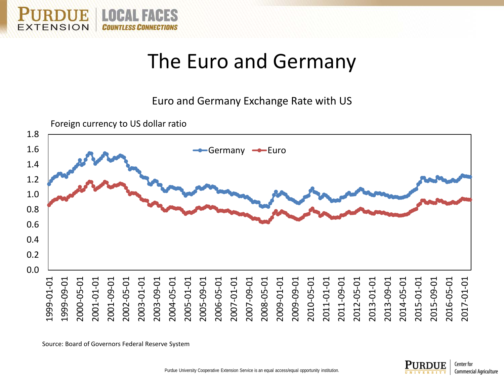

## The Euro and Germany

Euro and Germany Exchange Rate with US



Source: Board of Governors Federal Reserve System

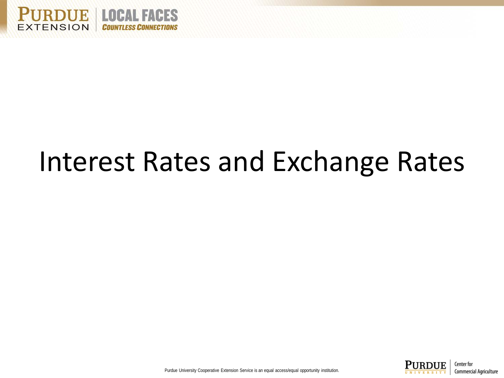

# Interest Rates and Exchange Rates

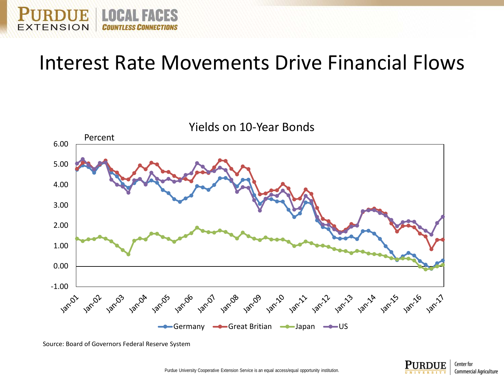## Interest Rate Movements Drive Financial Flows



Source: Board of Governors Federal Reserve System

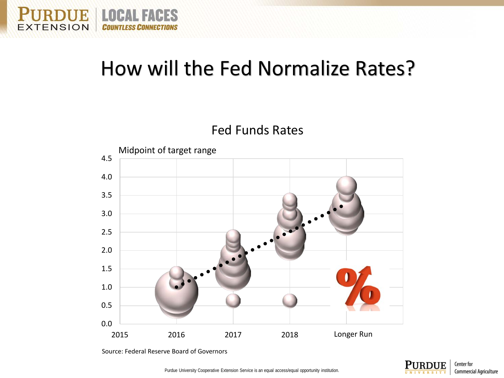

### How will the Fed Normalize Rates?





Source: Federal Reserve Board of Governors

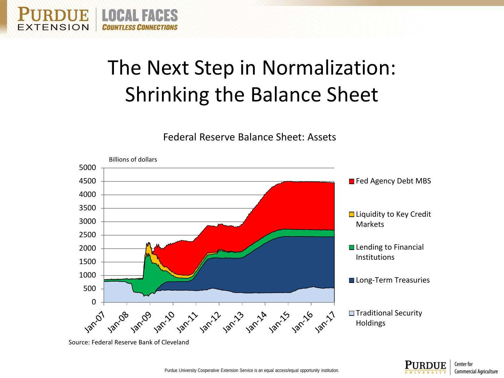

Federal Reserve Balance Sheet: Assets



Source: Federal Reserve Bank of Cleveland

**LOCAL FACES** 

ENSION

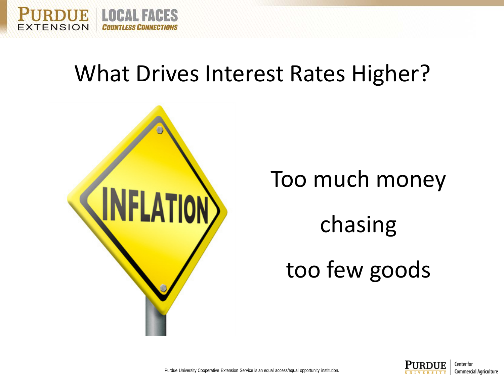



**RDUE | LOCAL FACES** 

**TENSION** 

Too much money

chasing too few goods

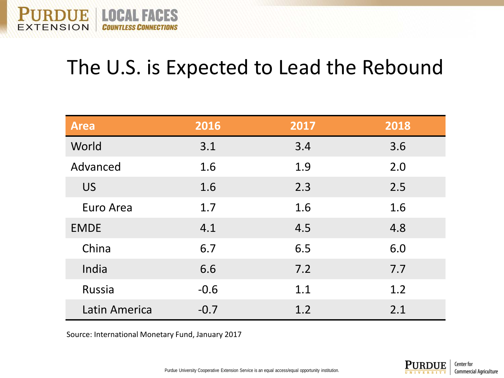## The U.S. is Expected to Lead the Rebound

| <b>Area</b>   | 2016   | 2017 | 2018 |
|---------------|--------|------|------|
| World         | 3.1    | 3.4  | 3.6  |
| Advanced      | 1.6    | 1.9  | 2.0  |
| <b>US</b>     | 1.6    | 2.3  | 2.5  |
| Euro Area     | 1.7    | 1.6  | 1.6  |
| <b>EMDE</b>   | 4.1    | 4.5  | 4.8  |
| China         | 6.7    | 6.5  | 6.0  |
| India         | 6.6    | 7.2  | 7.7  |
| Russia        | $-0.6$ | 1.1  | 1.2  |
| Latin America | $-0.7$ | 1.2  | 2.1  |

Source: International Monetary Fund, January 2017

**JRDUE | LOCAL FACES** 

**COUNTLESS CONNECTIONS** 

**EXTENSION** 

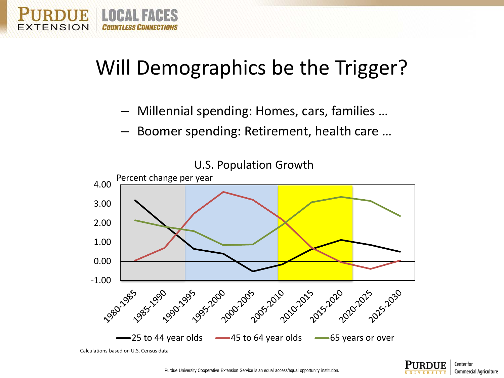## Will Demographics be the Trigger?

**OIE** 

ENSION

**LOCAL FACES** 

- Millennial spending: Homes, cars, families …
- Boomer spending: Retirement, health care …



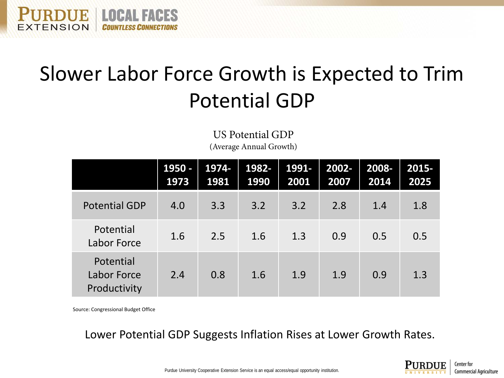# Slower Labor Force Growth is Expected to Trim Potential GDP

|                                          | <u> 1950 - </u><br>1973 | 1974-<br>1981 | 1982-<br>1990 | 1991-<br>2001 | $2002 -$<br>2007 | 2008-<br>2014 | 2015-<br>2025 |
|------------------------------------------|-------------------------|---------------|---------------|---------------|------------------|---------------|---------------|
| <b>Potential GDP</b>                     | 4.0                     | 3.3           | 3.2           | 3.2           | 2.8              | 1.4           | 1.8           |
| Potential<br>Labor Force                 | 1.6                     | 2.5           | 1.6           | 1.3           | 0.9              | 0.5           | 0.5           |
| Potential<br>Labor Force<br>Productivity | 2.4                     | 0.8           | 1.6           | 1.9           | 1.9              | 0.9           | 1.3           |

US Potential GDP (Average Annual Growth)

Source: Congressional Budget Office

**RDUE | LOCAL FACES** 

EXTENSION

Lower Potential GDP Suggests Inflation Rises at Lower Growth Rates.

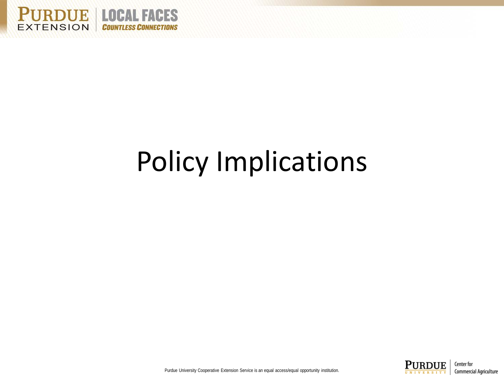

# Policy Implications

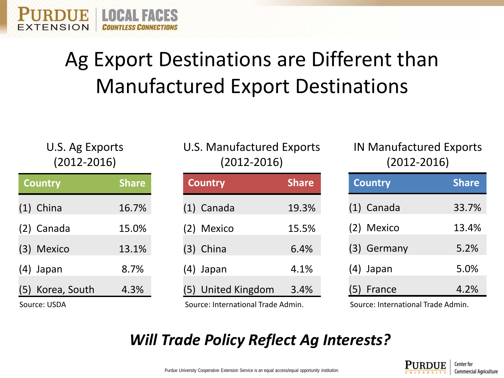# Ag Export Destinations are Different than Manufactured Export Destinations

|                 | U.S. Ag Exports |
|-----------------|-----------------|
| $(2012 - 2016)$ |                 |

ENSION

**OUE LOCAL FACES** 

| <b>Country</b>   | <b>Share</b> |
|------------------|--------------|
| $(1)$ China      | 16.7%        |
| (2) Canada       | 15.0%        |
| (3) Mexico       | 13.1%        |
| (4) Japan        | 8.7%         |
| (5) Korea, South | 4.3%         |
| Source: USDA     |              |

U.S. Manufactured Exports (2012-2016)

| <b>Share</b>                      |
|-----------------------------------|
| 19.3%                             |
| 15.5%                             |
| 6.4%                              |
| 4.1%                              |
| 3.4%                              |
| Source: International Trade Admin |

IN Manufactured Exports (2012-2016)

| <b>Country</b> | <b>Share</b> |
|----------------|--------------|
| (1) Canada     | 33.7%        |
| (2) Mexico     | 13.4%        |
| (3) Germany    | 5.2%         |
| $(4)$ Japan    | 5.0%         |
| France         | 4.2%         |

Source: International Trade Admin. Source: International Trade Admin.

### *Will Trade Policy Reflect Ag Interests?*

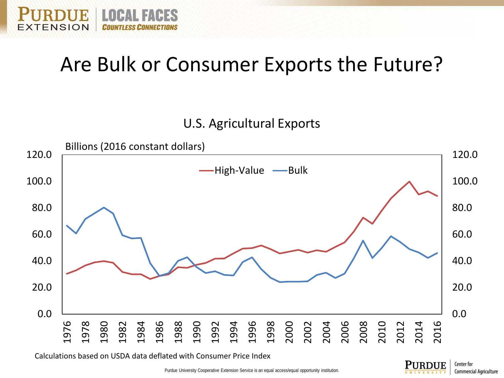## Are Bulk or Consumer Exports the Future?

U.S. Agricultural Exports



Calculations based on USDA data deflated with Consumer Price Index

E

ENSION

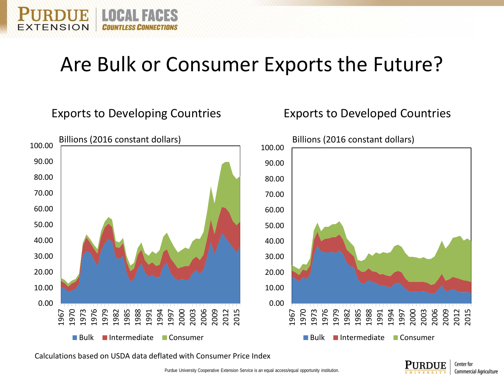### Are Bulk or Consumer Exports the Future?



Calculations based on USDA data deflated with Consumer Price Index

TE

ENSION

**LOCAL FACES** 

#### Center for **Commercial Agriculture**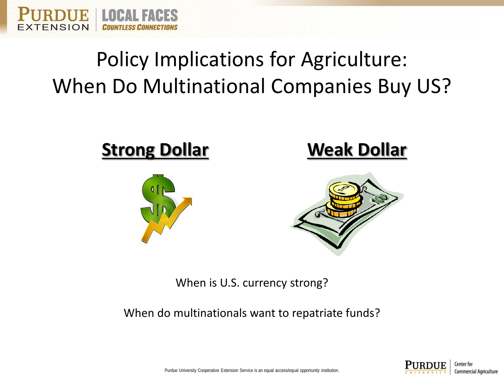

**TITEL** 

ENSION

**LOCAL FACES** 



When is U.S. currency strong?

When do multinationals want to repatriate funds?

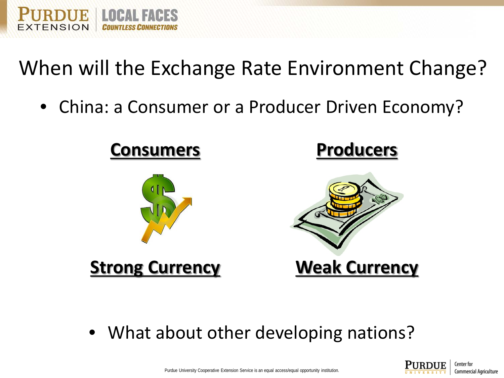# When will the Exchange Rate Environment Change?

**RDUE | LOCAL FACES** 

**ENSION** 

• China: a Consumer or a Producer Driven Economy?



• What about other developing nations?